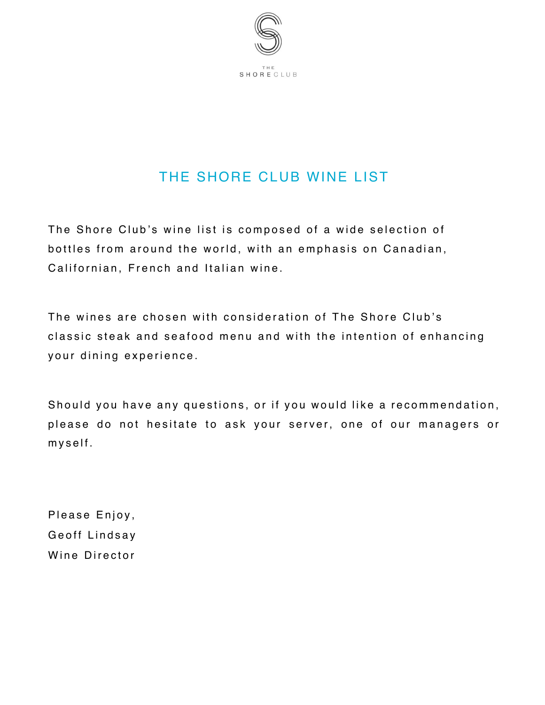

## THE SHORE CLUB WINE LIST

The Shore Club's wine list is composed of a wide selection of bottles from around the world, with an emphasis on Canadian, Californian, French and Italian wine.

The wines are chosen with consideration of The Shore Club's classic steak and seafood menu and with the intention of enhancing your dining experience.

Should you have any questions, or if you would like a recommendation, please do not hesitate to ask your server, one of our managers or myself .

Please Enjoy, Geoff Lindsay Wine Director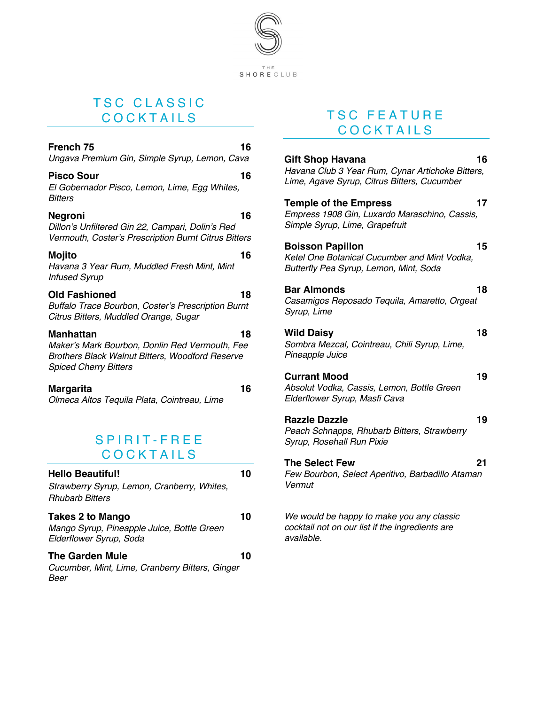

### TSC CLASSIC COCKTAILS

| French 75<br>Ungava Premium Gin, Simple Syrup, Lemon, Cava                                                                                     | 16 |
|------------------------------------------------------------------------------------------------------------------------------------------------|----|
| Pisco Sour<br>El Gobernador Pisco, Lemon, Lime, Egg Whites,<br>Bitters                                                                         | 16 |
| Negroni<br>Dillon's Unfiltered Gin 22, Campari, Dolin's Red<br>Vermouth, Coster's Prescription Burnt Citrus Bitters                            | 16 |
| Mojito<br>Havana 3 Year Rum, Muddled Fresh Mint, Mint<br><b>Infused Syrup</b>                                                                  | 16 |
| <b>Old Fashioned</b><br>Buffalo Trace Bourbon, Coster's Prescription Burnt<br>Citrus Bitters, Muddled Orange, Sugar                            | 18 |
| Manhattan<br>Maker's Mark Bourbon, Donlin Red Vermouth, Fee<br>Brothers Black Walnut Bitters, Woodford Reserve<br><b>Spiced Cherry Bitters</b> | 18 |
| Margarita<br>Olmeca Altos Tequila Plata, Cointreau, Lime                                                                                       | 16 |
| SPIRIT-FREE<br><b>COCKTAILS</b>                                                                                                                |    |
| <b>Hello Beautiful!</b><br>Strawberry Syrup, Lemon, Cranberry, Whites,<br><b>Rhubarb Bitters</b>                                               | 10 |
| <b>Takes 2 to Mango</b><br>Mango Syrup, Pineapple Juice, Bottle Green<br>Elderflower Syrup, Soda                                               | 10 |
| The Garden Mule<br>Cucumber, Mint, Lime, Cranberry Bitters, Ginger<br>Beer                                                                     | 10 |

### TSC FEATURE COCKTAILS

| <b>Gift Shop Havana</b><br>Havana Club 3 Year Rum, Cynar Artichoke Bitters,<br>Lime, Agave Syrup, Citrus Bitters, Cucumber | 16 |
|----------------------------------------------------------------------------------------------------------------------------|----|
| <b>Temple of the Empress</b><br>Empress 1908 Gin, Luxardo Maraschino, Cassis,<br>Simple Syrup, Lime, Grapefruit            | 17 |
| <b>Boisson Papillon</b><br>Ketel One Botanical Cucumber and Mint Vodka,<br>Butterfly Pea Syrup, Lemon, Mint, Soda          | 15 |
| <b>Bar Almonds</b><br>Casamigos Reposado Tequila, Amaretto, Orgeat<br>Syrup, Lime                                          | 18 |
| <b>Wild Daisy</b><br>Sombra Mezcal, Cointreau, Chili Syrup, Lime,<br>Pineapple Juice                                       | 18 |
| <b>Currant Mood</b><br>Absolut Vodka, Cassis, Lemon, Bottle Green<br>Elderflower Syrup, Masfi Cava                         | 19 |
| <b>Razzle Dazzle</b><br>Peach Schnapps, Rhubarb Bitters, Strawberry<br>Syrup, Rosehall Run Pixie                           | 19 |
| <b>The Select Few</b><br>Few Bourbon, Select Aperitivo, Barbadillo Ataman<br>Vermut                                        | 21 |
| We would be happy to make you any classic                                                                                  |    |

*cocktail not on our list if the ingredients are available.*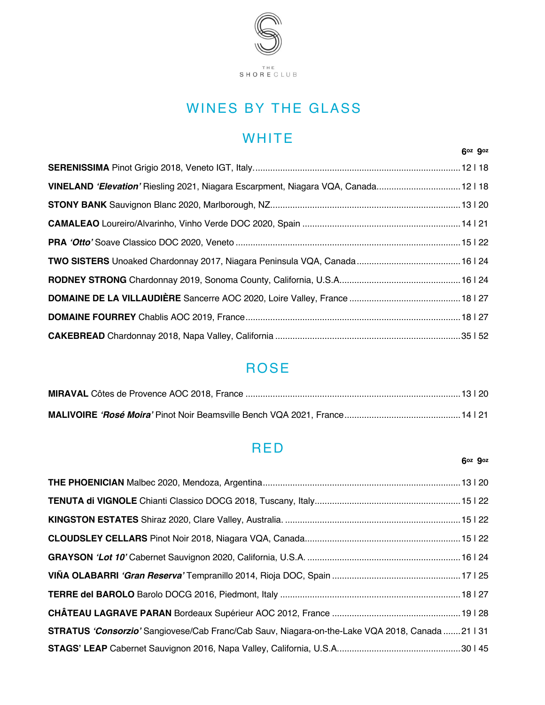

# WINES BY THE GLASS

# **WHITE**

| VINELAND 'Elevation' Riesling 2021, Niagara Escarpment, Niagara VQA, Canada12118 |  |
|----------------------------------------------------------------------------------|--|
|                                                                                  |  |
|                                                                                  |  |
|                                                                                  |  |
|                                                                                  |  |
|                                                                                  |  |
|                                                                                  |  |
|                                                                                  |  |
|                                                                                  |  |

## ROSE

## RED

#### **6oz 9oz**

 **6oz 9oz** 

| STRATUS 'Consorzio' Sangiovese/Cab Franc/Cab Sauv, Niagara-on-the-Lake VQA 2018, Canada 21   31 |  |
|-------------------------------------------------------------------------------------------------|--|
|                                                                                                 |  |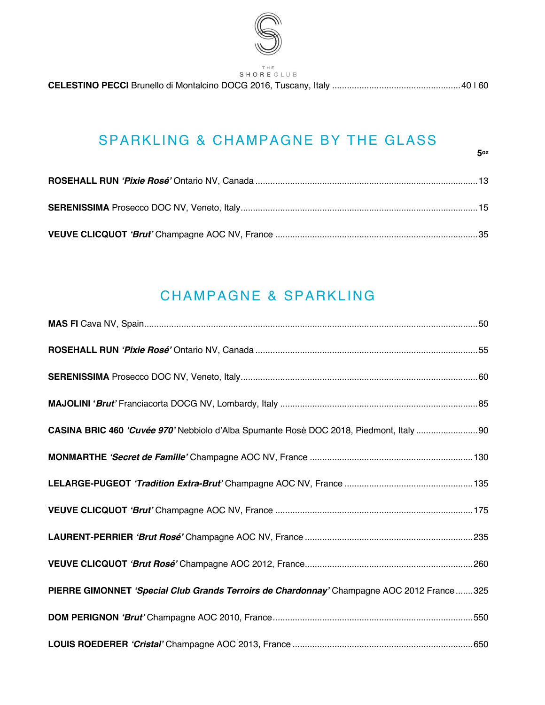

SHORE CLUB

## SPARKLING & CHAMPAGNE BY THE GLASS

## CHAMPAGNE & SPARKLING

| CASINA BRIC 460 'Cuvée 970' Nebbiolo d'Alba Spumante Rosé DOC 2018, Piedmont, Italy 90     |  |
|--------------------------------------------------------------------------------------------|--|
|                                                                                            |  |
|                                                                                            |  |
|                                                                                            |  |
|                                                                                            |  |
|                                                                                            |  |
| PIERRE GIMONNET 'Special Club Grands Terroirs de Chardonnay' Champagne AOC 2012 France 325 |  |
|                                                                                            |  |
|                                                                                            |  |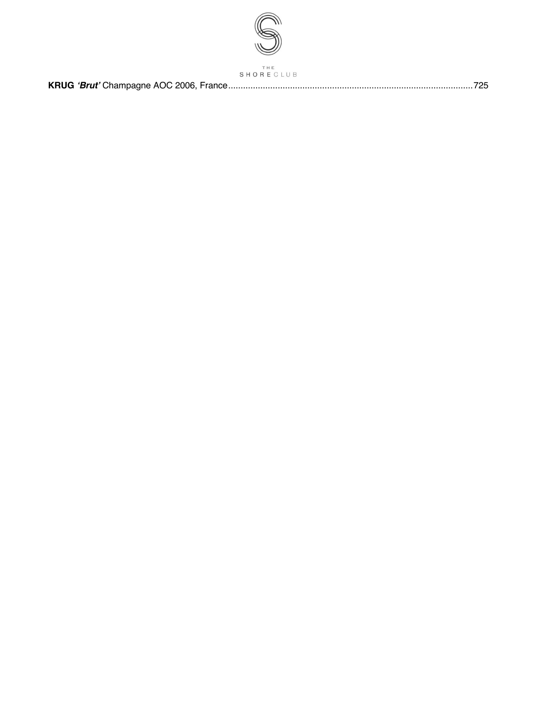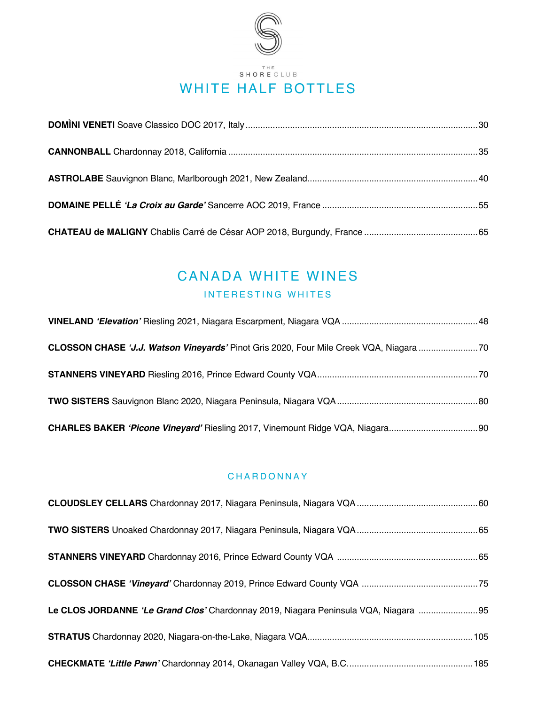

## CANADA WHITE WINES INTERESTING WHITES

| CLOSSON CHASE 'J.J. Watson Vineyards' Pinot Gris 2020, Four Mile Creek VQA, Niagara |  |
|-------------------------------------------------------------------------------------|--|
|                                                                                     |  |
|                                                                                     |  |
|                                                                                     |  |

#### CHARDONNAY

| Le CLOS JORDANNE 'Le Grand Clos' Chardonnay 2019, Niagara Peninsula VQA, Niagara 95 |  |
|-------------------------------------------------------------------------------------|--|
|                                                                                     |  |
|                                                                                     |  |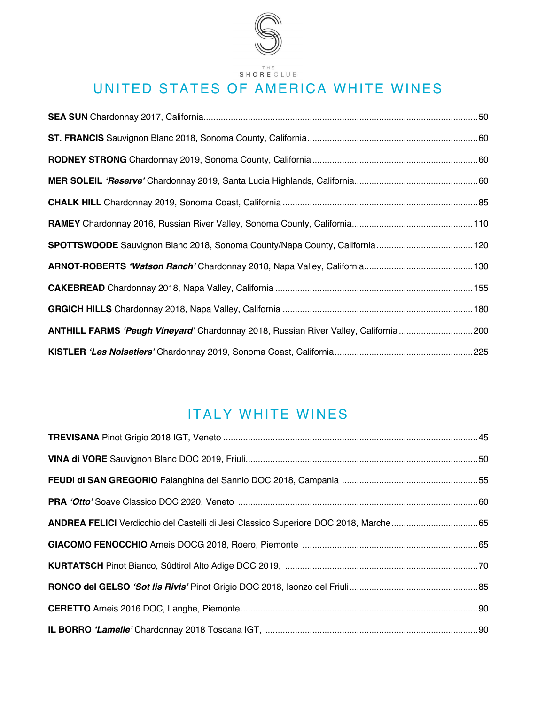

# UNITED STATES OF AMERICA WHITE WINES

| ANTHILL FARMS 'Peugh Vineyard' Chardonnay 2018, Russian River Valley, California 200 |  |
|--------------------------------------------------------------------------------------|--|
|                                                                                      |  |

## ITALY WHITE WINES

| ANDREA FELICI Verdicchio del Castelli di Jesi Classico Superiore DOC 2018, Marche65 |  |
|-------------------------------------------------------------------------------------|--|
|                                                                                     |  |
|                                                                                     |  |
|                                                                                     |  |
|                                                                                     |  |
|                                                                                     |  |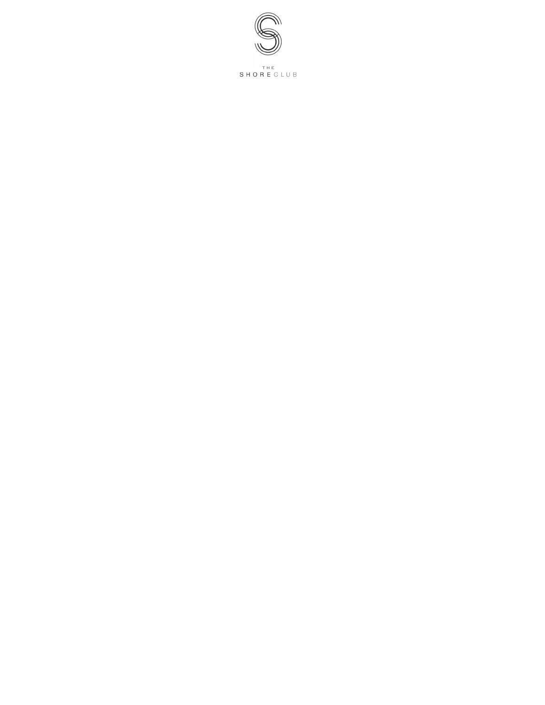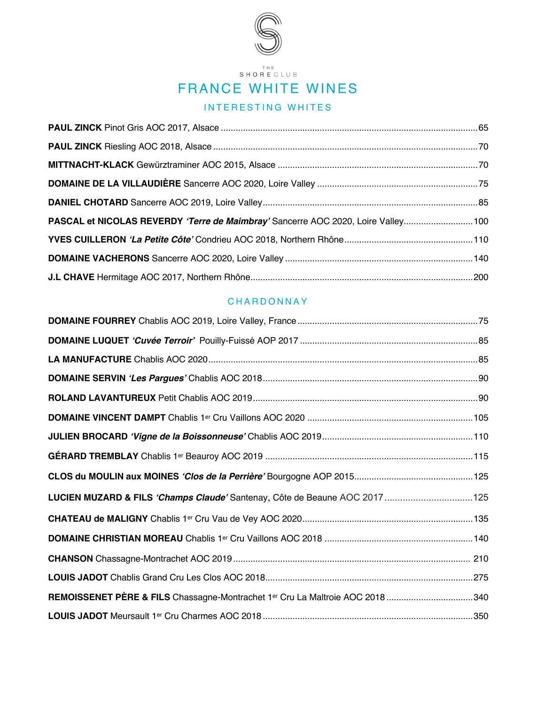

### THE<br>SHORE CLUB

## FRANCE WHITE WINES

### INTERESTING WHITES

| PASCAL et NICOLAS REVERDY 'Terre de Maimbray' Sancerre AOC 2020, Loire Valley100 |  |
|----------------------------------------------------------------------------------|--|
|                                                                                  |  |
|                                                                                  |  |
|                                                                                  |  |

#### CHARDONNAY

| LUCIEN MUZARD & FILS 'Champs Claude' Santenay, Côte de Beaune AOC 2017 125    |  |
|-------------------------------------------------------------------------------|--|
|                                                                               |  |
|                                                                               |  |
|                                                                               |  |
|                                                                               |  |
| REMOISSENET PÈRE & FILS Chassagne-Montrachet 1er Cru La Maltroie AOC 2018 340 |  |
|                                                                               |  |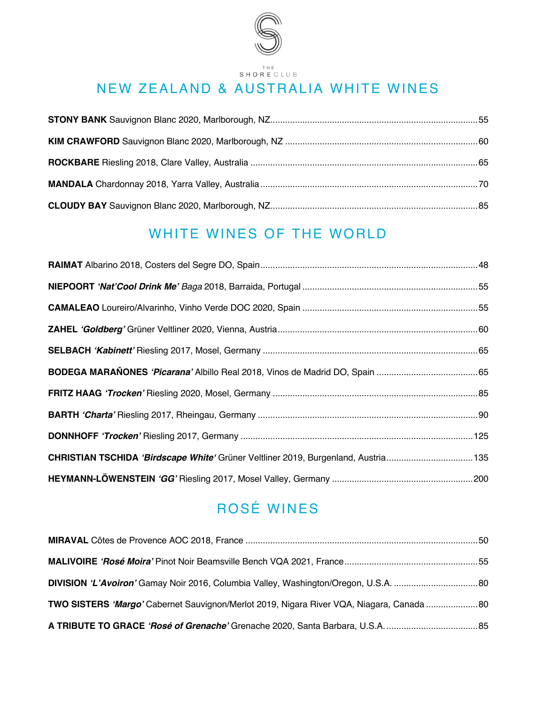

# NEW ZEALAND & AUSTRALIA WHITE WINES

# WHITE WINES OF THE WORLD

| CHRISTIAN TSCHIDA 'Birdscape White' Grüner Veltliner 2019, Burgenland, Austria135 |  |
|-----------------------------------------------------------------------------------|--|
|                                                                                   |  |

# ROSÉ WINES

| TWO SISTERS 'Margo' Cabernet Sauvignon/Merlot 2019, Nigara River VQA, Niagara, Canada  80 |  |
|-------------------------------------------------------------------------------------------|--|
|                                                                                           |  |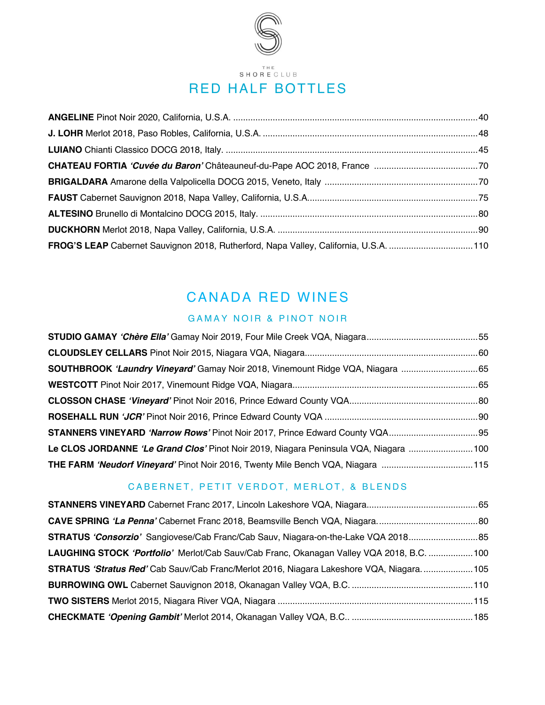

## CANADA RED WINES

### GAMAY NOIR & PINOT NOIR

| SOUTHBROOK 'Laundry Vineyard' Gamay Noir 2018, Vinemount Ridge VQA, Niagara 65       |  |
|--------------------------------------------------------------------------------------|--|
|                                                                                      |  |
|                                                                                      |  |
|                                                                                      |  |
|                                                                                      |  |
| Le CLOS JORDANNE 'Le Grand Clos' Pinot Noir 2019, Niagara Peninsula VQA, Niagara 100 |  |
| THE FARM 'Neudorf Vineyard' Pinot Noir 2016, Twenty Mile Bench VQA, Niagara 115      |  |

### CABERNET, PETIT VERDOT, MERLOT, & BLENDS

| LAUGHING STOCK 'Portfolio' Merlot/Cab Sauv/Cab Franc, Okanagan Valley VQA 2018, B.C. 100 |  |
|------------------------------------------------------------------------------------------|--|
| STRATUS 'Stratus Red' Cab Sauv/Cab Franc/Merlot 2016, Niagara Lakeshore VQA, Niagara105  |  |
|                                                                                          |  |
|                                                                                          |  |
|                                                                                          |  |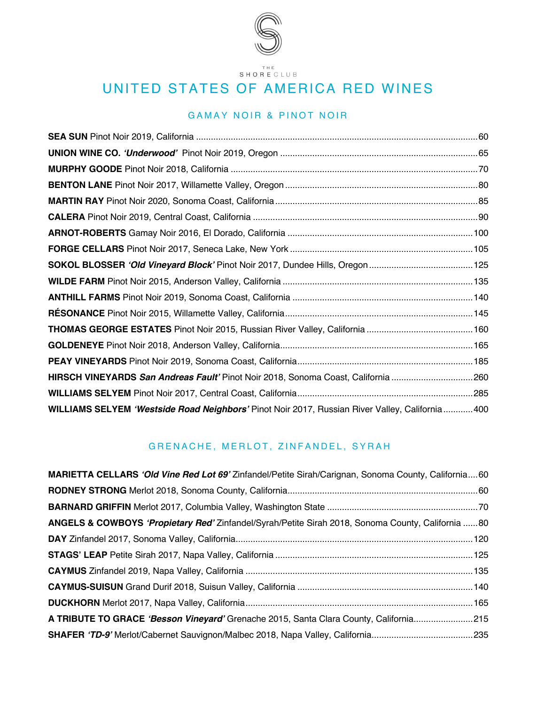

 $\begin{array}{ll} & \texttt{THE} \\ \texttt{SH} \, \texttt{O} \, \texttt{R} \, \texttt{E} \, \texttt{C} \, \texttt{L} \, \texttt{U} \, \texttt{B} \end{array}$ 

## UNITED STATES OF AMERICA RED WINES

### GAMAY NOIR & PINOT NOIR

| HIRSCH VINEYARDS San Andreas Fault' Pinot Noir 2018, Sonoma Coast, California 260              |  |
|------------------------------------------------------------------------------------------------|--|
|                                                                                                |  |
| WILLIAMS SELYEM 'Westside Road Neighbors' Pinot Noir 2017, Russian River Valley, California400 |  |

#### GRENACHE, MERLOT, ZINFANDEL, SYRAH

| <b>MARIETTA CELLARS 'Old Vine Red Lot 69'</b> Zinfandel/Petite Sirah/Carignan, Sonoma County, California60 |  |
|------------------------------------------------------------------------------------------------------------|--|
|                                                                                                            |  |
|                                                                                                            |  |
| ANGELS & COWBOYS 'Propietary Red' Zinfandel/Syrah/Petite Sirah 2018, Sonoma County, California 80          |  |
|                                                                                                            |  |
|                                                                                                            |  |
|                                                                                                            |  |
|                                                                                                            |  |
|                                                                                                            |  |
| A TRIBUTE TO GRACE 'Besson Vineyard' Grenache 2015, Santa Clara County, California215                      |  |
|                                                                                                            |  |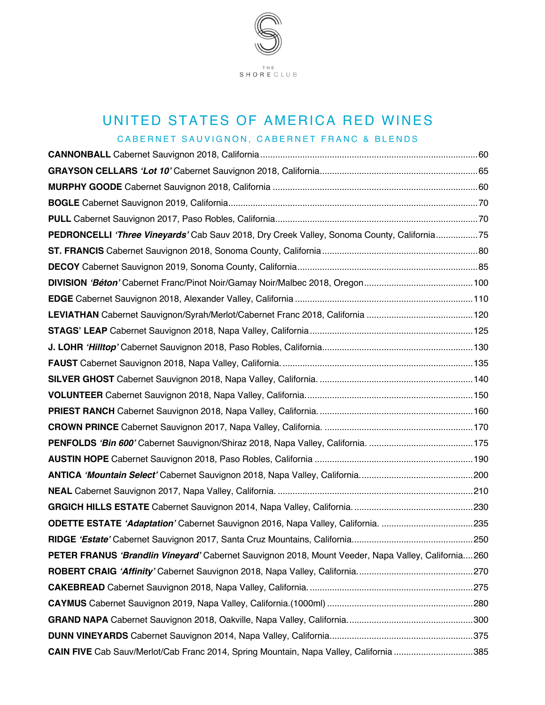

# UNITED STATES OF AMERICA RED WINES

| PEDRONCELLI 'Three Vineyards' Cab Sauv 2018, Dry Creek Valley, Sonoma County, California75         |  |
|----------------------------------------------------------------------------------------------------|--|
|                                                                                                    |  |
|                                                                                                    |  |
|                                                                                                    |  |
|                                                                                                    |  |
|                                                                                                    |  |
|                                                                                                    |  |
|                                                                                                    |  |
|                                                                                                    |  |
|                                                                                                    |  |
|                                                                                                    |  |
|                                                                                                    |  |
|                                                                                                    |  |
|                                                                                                    |  |
|                                                                                                    |  |
|                                                                                                    |  |
|                                                                                                    |  |
|                                                                                                    |  |
|                                                                                                    |  |
|                                                                                                    |  |
| PETER FRANUS 'Brandlin Vineyard' Cabernet Sauvignon 2018, Mount Veeder, Napa Valley, California260 |  |
|                                                                                                    |  |
|                                                                                                    |  |
|                                                                                                    |  |
|                                                                                                    |  |
|                                                                                                    |  |
| CAIN FIVE Cab Sauv/Merlot/Cab Franc 2014, Spring Mountain, Napa Valley, California 385             |  |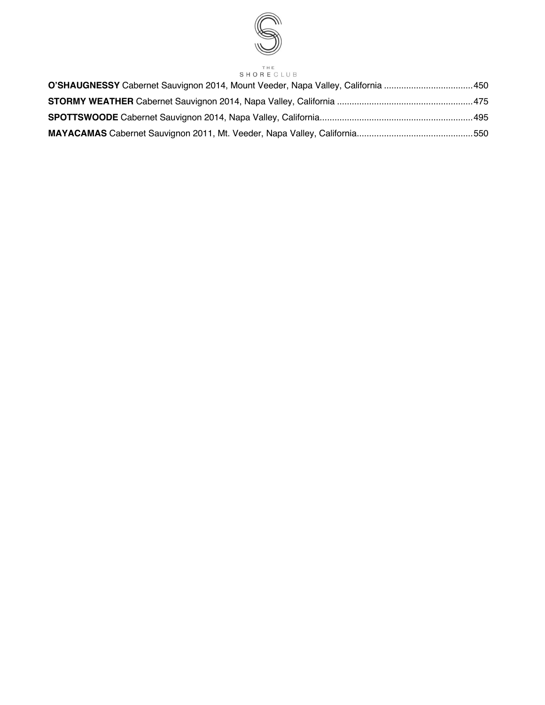

# SHORE CLUB

| O'SHAUGNESSY Cabernet Sauvignon 2014, Mount Veeder, Napa Valley, California 450 |  |
|---------------------------------------------------------------------------------|--|
|                                                                                 |  |
|                                                                                 |  |
|                                                                                 |  |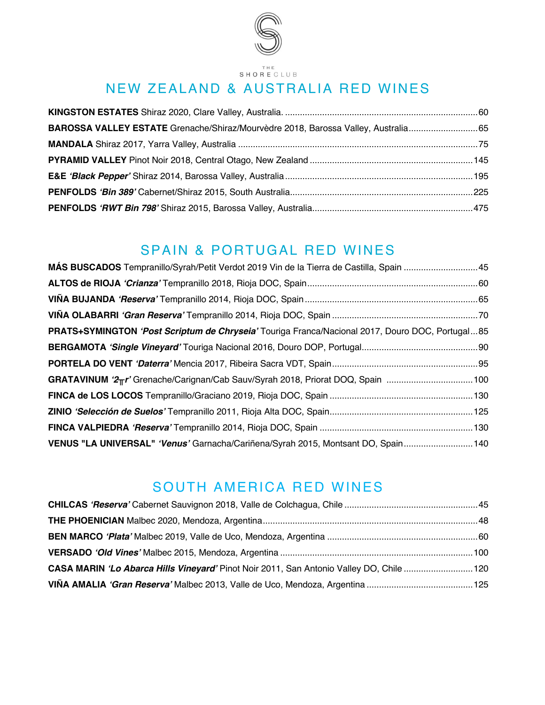

 $\begin{array}{ll} & \texttt{THE} \\ \texttt{SHORECLUB} \end{array}$ 

# NEW ZEALAND & AUSTRALIA RED WINES

| BAROSSA VALLEY ESTATE Grenache/Shiraz/Mourvèdre 2018, Barossa Valley, Australia 65 |  |
|------------------------------------------------------------------------------------|--|
|                                                                                    |  |
|                                                                                    |  |
|                                                                                    |  |
|                                                                                    |  |
|                                                                                    |  |

### SPAIN & PORTUGAL RED WINES

| MÁS BUSCADOS Tempranillo/Syrah/Petit Verdot 2019 Vin de la Tierra de Castilla, Spain 45         |  |
|-------------------------------------------------------------------------------------------------|--|
|                                                                                                 |  |
|                                                                                                 |  |
|                                                                                                 |  |
| PRATS+SYMINGTON 'Post Scriptum de Chryseia' Touriga Franca/Nacional 2017, Douro DOC, Portugal85 |  |
|                                                                                                 |  |
|                                                                                                 |  |
| GRATAVINUM '2Tr' Grenache/Carignan/Cab Sauv/Syrah 2018, Priorat DOQ, Spain 100                  |  |
|                                                                                                 |  |
|                                                                                                 |  |
|                                                                                                 |  |
| VENUS "LA UNIVERSAL" 'Venus' Garnacha/Cariñena/Syrah 2015, Montsant DO, Spain140                |  |

## SOUTH AMERICA RED WINES

| CASA MARIN 'Lo Abarca Hills Vineyard' Pinot Noir 2011, San Antonio Valley DO, Chile 120 |  |
|-----------------------------------------------------------------------------------------|--|
|                                                                                         |  |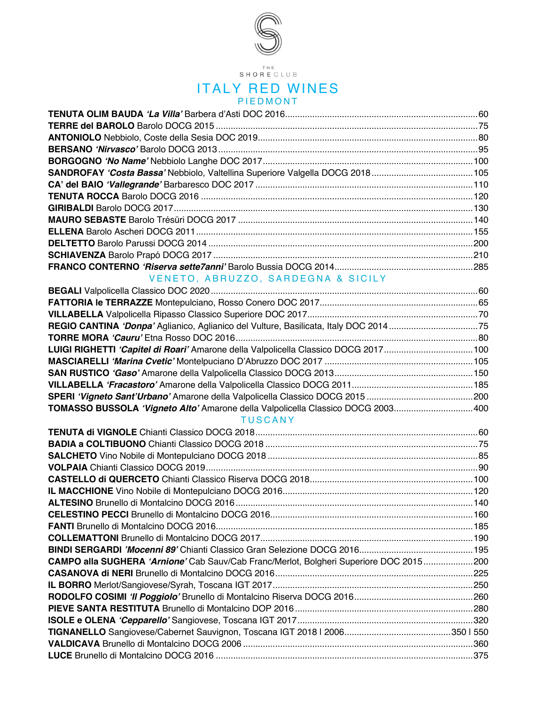

THE<br>SHORE CLUB

#### ITALY RED WINES PIEDMONT

| VENETO, ABRUZZO, SARDEGNA & SICILY                                                     |  |
|----------------------------------------------------------------------------------------|--|
|                                                                                        |  |
|                                                                                        |  |
|                                                                                        |  |
| REGIO CANTINA 'Donpa' Aglianico, Aglianico del Vulture, Basilicata, Italy DOC 201475   |  |
|                                                                                        |  |
| LUIGI RIGHETTI 'Capitel di Roari' Amarone della Valpolicella Classico DOCG 2017100     |  |
|                                                                                        |  |
|                                                                                        |  |
|                                                                                        |  |
|                                                                                        |  |
| TOMASSO BUSSOLA 'Vigneto Alto' Amarone della Valpolicella Classico DOCG 2003400        |  |
| <b>TUSCANY</b>                                                                         |  |
|                                                                                        |  |
|                                                                                        |  |
|                                                                                        |  |
|                                                                                        |  |
|                                                                                        |  |
|                                                                                        |  |
|                                                                                        |  |
|                                                                                        |  |
|                                                                                        |  |
|                                                                                        |  |
|                                                                                        |  |
| CAMPO alla SUGHERA 'Arnione' Cab Sauv/Cab Franc/Merlot, Bolgheri Superiore DOC 2015200 |  |
|                                                                                        |  |
|                                                                                        |  |
|                                                                                        |  |
|                                                                                        |  |
|                                                                                        |  |
|                                                                                        |  |
|                                                                                        |  |
|                                                                                        |  |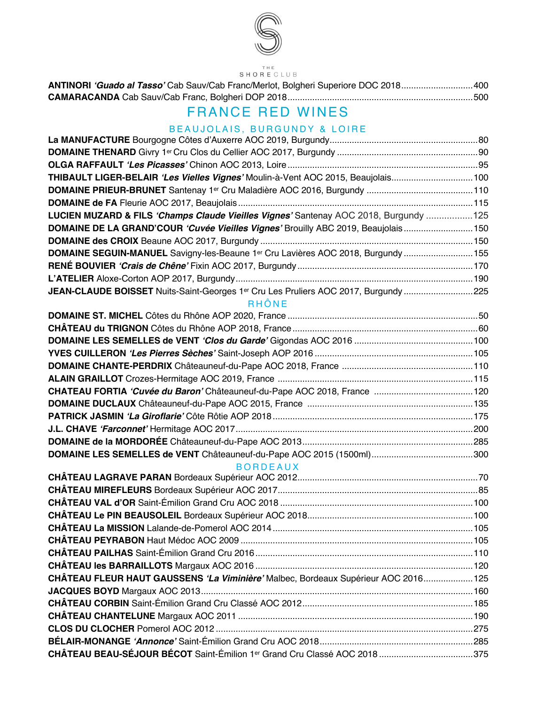

### $\begin{array}{ll} & \texttt{THE} \\ \texttt{SH} \, \texttt{O} \, \texttt{R} \, \texttt{E} \, \texttt{C} \, \texttt{L} \, \texttt{U} \, \texttt{B} \end{array}$

| ANTINORI 'Guado al Tasso' Cab Sauv/Cab Franc/Merlot, Bolgheri Superiore DOC 2018400 |  |
|-------------------------------------------------------------------------------------|--|
|                                                                                     |  |

# FRANCE RED WINES

### BEAUJOLAIS, BURGUNDY & LOIRE

| THIBAULT LIGER-BELAIR 'Les Vielles Vignes' Moulin-à-Vent AOC 2015, Beaujolais100     |  |
|--------------------------------------------------------------------------------------|--|
|                                                                                      |  |
|                                                                                      |  |
| LUCIEN MUZARD & FILS 'Champs Claude Vieilles Vignes' Santenay AOC 2018, Burgundy 125 |  |
| DOMAINE DE LA GRAND'COUR 'Cuvée Vieilles Vignes' Brouilly ABC 2019, Beaujolais150    |  |
|                                                                                      |  |
| DOMAINE SEGUIN-MANUEL Savigny-les-Beaune 1er Cru Lavières AOC 2018, Burgundy 155     |  |
|                                                                                      |  |
|                                                                                      |  |
| JEAN-CLAUDE BOISSET Nuits-Saint-Georges 1er Cru Les Pruliers AOC 2017, Burgundy 225  |  |
| RHÔNE                                                                                |  |
|                                                                                      |  |
|                                                                                      |  |
|                                                                                      |  |
|                                                                                      |  |
|                                                                                      |  |
|                                                                                      |  |
|                                                                                      |  |
|                                                                                      |  |
|                                                                                      |  |
|                                                                                      |  |
|                                                                                      |  |
|                                                                                      |  |
| <b>BORDEAUX</b>                                                                      |  |
|                                                                                      |  |
|                                                                                      |  |
|                                                                                      |  |
|                                                                                      |  |
|                                                                                      |  |
|                                                                                      |  |
|                                                                                      |  |
|                                                                                      |  |
| CHÂTEAU FLEUR HAUT GAUSSENS 'La Viminière' Malbec, Bordeaux Supérieur AOC 2016125    |  |
|                                                                                      |  |
|                                                                                      |  |
|                                                                                      |  |
|                                                                                      |  |
|                                                                                      |  |
| CHÂTEAU BEAU-SÉJOUR BÉCOT Saint-Émilion 1er Grand Cru Classé AOC 2018 375            |  |